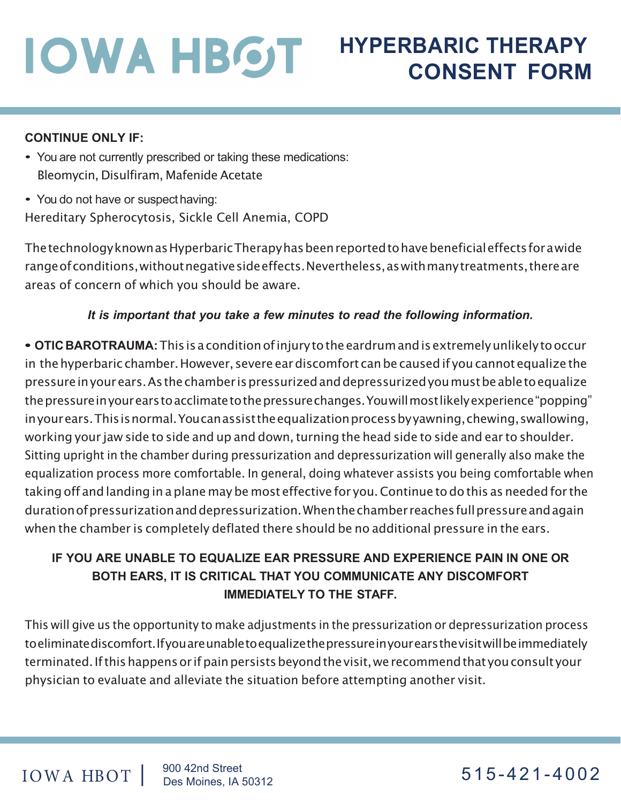# **IOWA HBOT**

# **HYPERBARIC THERAPY CONSENT FORM**

#### **CONTINUE ONLY IF:**

- You are not currently prescribed or taking these medications: Bleomycin, Disulfiram, Mafenide Acetate
- You do not have or suspect having:

Hereditary Spherocytosis, Sickle Cell Anemia, COPD

ThetechnologyknownasHyperbaricTherapyhasbeenreportedtohavebeneficialeffectsfor a wide rangeofconditions,withoutnegativesideeffects.Nevertheless,aswithmanytreatments,thereare areas of concern of which you should be aware.

#### *It is important that you take a few minutes to read the following information.*

**• OTICBAROTRAUMA:**This is a conditionofinjurytotheeardrumandisextremelyunlikelytooccur in thehyperbaric chamber.However, severe eardiscomfort canbe causedif youcannot equalize the pressureinyourears. As thechamber ispressurizedanddepressurizedyoumustbeabletoequalize thepressureinyourearstoacclimatetothepressurechanges.Youwillmostlikelyexperience"popping" inyourears. This is normal. You can assist the equalization process by yawning, chewing, swallowing, working your jaw side to side and up and down, turning the head side to side and ear to shoulder. Sitting upright in the chamber during pressurization and depressurization will generally also make the equalization process more comfortable. In general, doing whatever assists you being comfortable when taking off and landing in a plane maybe most effective for you.Continue todo this as needed for the durationofpressurizationanddepressurization.Whenthechamber reachesfullpressureandagain when the chamber is completely deflated there should be no additional pressure in the ears.

#### **IF YOU ARE UNABLE TO EQUALIZE EAR PRESSURE AND EXPERIENCE PAIN IN ONE OR BOTH EARS, IT IS CRITICAL THAT YOU COMMUNICATE ANY DISCOMFORT IMMEDIATELY TO THE STAFF.**

This will give us the opportunity to make adjustments in the pressurization or depressurization process toeliminatediscomfort.Ifyouareunabletoequalizethepressureinyourearsthevisitwillbeimmediately terminated.Ifthishappensor ifpainpersistsbeyondthevisit, we recommendthat youconsult your physician to evaluate and alleviate the situation before attempting another visit.

#### IOWA HBOT | 900 42nd Street<br>Des Moines, IA 50312

 $515 - 421 - 4002$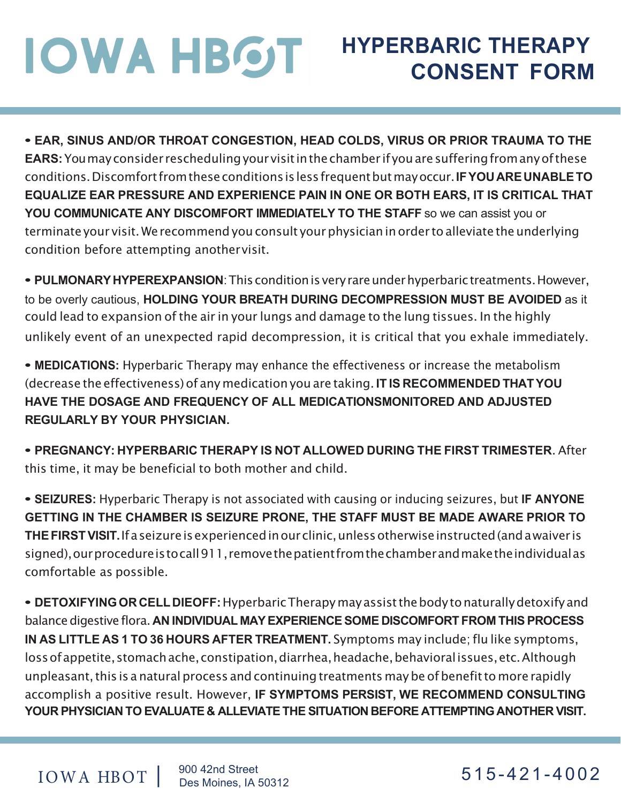### **IOWA HBOT HYPERBARIC THERAPY CONSENT FORM**

**• EAR, SINUS AND/OR THROAT CONGESTION, HEAD COLDS, VIRUS OR PRIOR TRAUMA TO THE EARS:**Youmayconsider reschedulingyourvisitinthechamber ifyouaresufferingfromanyofthese conditions.Discomfortfromtheseconditionsislessfrequentbutmayoccur.**IFYOUAREUNABLETO EQUALIZE EAR PRESSURE AND EXPERIENCE PAIN IN ONE OR BOTH EARS, IT IS CRITICAL THAT YOU COMMUNICATE ANY DISCOMFORT IMMEDIATELY TO THE STAFF** so we can assist you or terminate your visit. We recommend you consult your physician in order to alleviate the underlying condition before attempting anothervisit.

• **PULMONARY HYPEREXPANSION**: This condition is very rare under hyperbaric treatments. However, to be overly cautious, **HOLDING YOUR BREATH DURING DECOMPRESSION MUST BE AVOIDED** as it could lead to expansion of the air in your lungs and damage to the lung tissues. In the highly unlikely event of an unexpected rapid decompression, it is critical that you exhale immediately.

**• MEDICATIONS:** Hyperbaric Therapy may enhance the effectiveness or increase the metabolism (decrease the effectiveness)of any medicationyou are taking.**IT IS RECOMMENDED THATYOU HAVE THE DOSAGE AND FREQUENCY OF ALL MEDICATIONSMONITORED AND ADJUSTED REGULARLY BY YOUR PHYSICIAN.**

**• PREGNANCY: HYPERBARIC THERAPY IS NOT ALLOWED DURING THE FIRST TRIMESTER**. After this time, it may be beneficial to both mother and child.

**• SEIZURES:** Hyperbaric Therapy is not associated with causing or inducing seizures, but **IF ANYONE GETTING IN THE CHAMBER IS SEIZURE PRONE, THE STAFF MUST BE MADE AWARE PRIOR TO THEFIRSTVISIT.**If a seizureisexperiencedinourclinic,unlessotherwiseinstructed(and a waiver is signed), ourprocedureistocall911,removethepatientfromthechamberandmaketheindividualas comfortable as possible.

**• DETOXIFYINGORCELLDIEOFF:**HyperbaricTherapymay assist thebody tonaturallydetoxifyand balancedigestive flora. **AN INDIVIDUAL MAYEXPERIENCESOME DISCOMFORT FROM THIS PROCESS IN AS LITTLE AS 1 TO 36 HOURS AFTER TREATMENT.** Symptoms may include; flu like symptoms, loss of appetite, stomach ache, constipation, diarrhea, headache, behavioral issues, etc. Although unpleasant, this is a natural process and continuing treatments may be of benefit to more rapidly accomplish a positive result. However, **IF SYMPTOMS PERSIST, WE RECOMMEND CONSULTING YOUR PHYSICIAN TO EVALUATE & ALLEVIATETHE SITUATION BEFORE ATTEMPTINGANOTHER VISIT.**